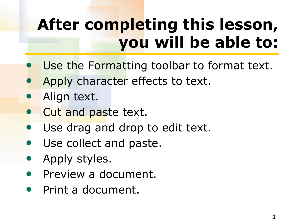# **After completing this lesson, you will be able to:**

- Use the Formatting toolbar to format text.
- Apply character effects to text.
- Align text.
- Cut and paste text.
- Use drag and drop to edit text.
- Use collect and paste.
- Apply styles.
- Preview a document.
- Print a document.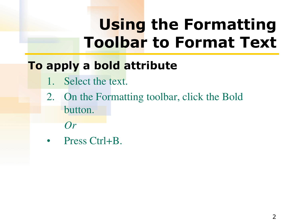### **To apply a bold attribute**

- 1. Select the text.
- 2. On the Formatting toolbar, click the Bold button.
	- *Or*
- Press Ctrl+B.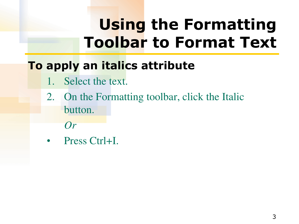### **To apply an italics attribute**

- 1. Select the text.
- 2. On the Formatting toolbar, click the Italic button.
	- *Or*
- Press Ctrl+I.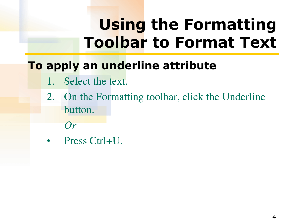#### **To apply an underline attribute**

- 1. Select the text.
- 2. On the Formatting toolbar, click the Underline button.
	- *Or*
- Press Ctrl+U.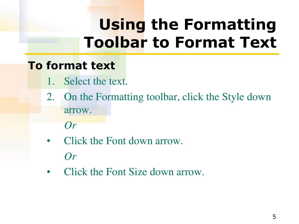#### **To format text**

- 1. Select the text.
- 2. On the Formatting toolbar, click the Style down arrow.

*Or*

- Click the Font down arrow. *Or*
- Click the Font Size down arrow.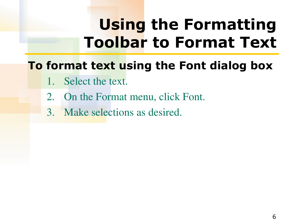#### **To format text using the Font dialog box**

- 1. Select the text.
- 2. On the Format menu, click Font.
- 3. Make selections as desired.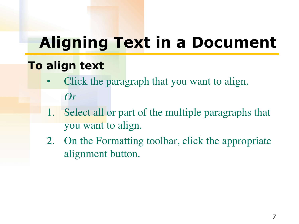### **Aligning Text in a Document**

#### **To align text**

- Click the paragraph that you want to align. *Or*
- 1. Select all or part of the multiple paragraphs that you want to align.
- 2. On the Formatting toolbar, click the appropriate alignment button.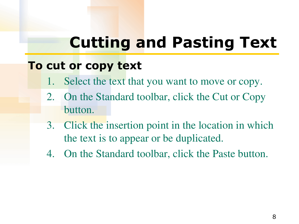### **Cutting and Pasting Text**

#### **To cut or copy text**

- 1. Select the text that you want to move or copy.
- 2. On the Standard toolbar, click the Cut or Copy button.
- 3. Click the insertion point in the location in which the text is to appear or be duplicated.
- 4. On the Standard toolbar, click the Paste button.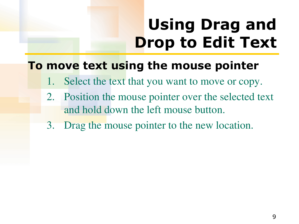# **Using Drag and Drop to Edit Text**

#### **To move text using the mouse pointer**

- 1. Select the text that you want to move or copy.
- 2. Position the mouse pointer over the selected text and hold down the left mouse button.
- 3. Drag the mouse pointer to the new location.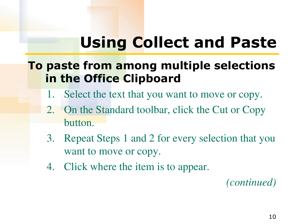# **Using Collect and Paste**

#### **To paste from among multiple selections in the Office Clipboard**

- 1. Select the text that you want to move or copy.
- 2. On the Standard toolbar, click the Cut or Copy button.
- 3. Repeat Steps 1 and 2 for every selection that you want to move or copy.
- 4. Click where the item is to appear.

*(continued)*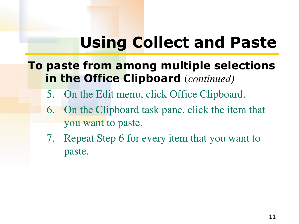### **Using Collect and Paste**

#### **To paste from among multiple selections in the Office Clipboard** (*continued)*

- 5. On the Edit menu, click Office Clipboard.
- 6. On the Clipboard task pane, click the item that you want to paste.
- 7. Repeat Step 6 for every item that you want to paste.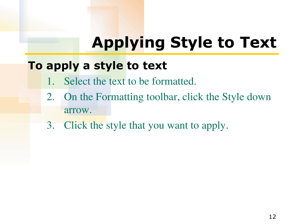# **Applying Style to Text**

#### **To apply a style to text**

- 1. Select the text to be formatted.
- 2. On the Formatting toolbar, click the Style down arrow.
- 3. Click the style that you want to apply.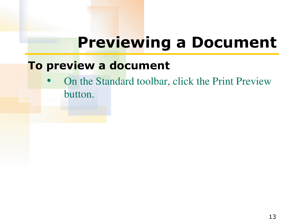### **Previewing a Document**

#### **To preview a document**

• On the Standard toolbar, click the Print Preview button.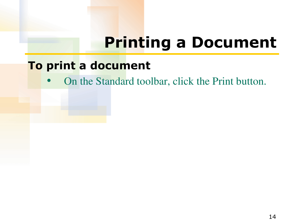### **Printing a Document**

#### **To print a document**

• On the Standard toolbar, click the Print button.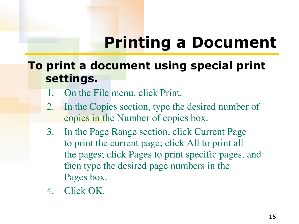### **Printing a Document**

#### **To print a document using special print settings.**

- 1. On the File menu, click Print.
- 2. In the Copies section, type the desired number of copies in the Number of copies box.
- 3. In the Page Range section, click Current Page to print the current page; click All to print all the pages; click Pages to print specific pages, and then type the desired page numbers in the Pages box.
- 4. Click OK.